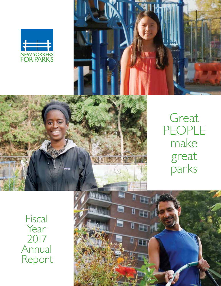



8

‼ ⊞

ΙŒ



Great PEOPLE make great parks

**Fiscal** Year 2017 Annual Report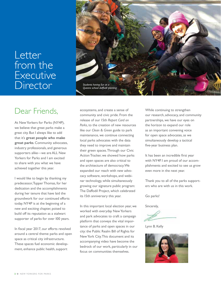## Letter from the Executive **Director**



## Dear Friends,

At New Yorkers for Parks (NY4P), we believe that great parks make a great city. But I always like to add that it's **great people who make great parks**. Community advocates, industry professionals, and generous supporters alike—we are ALL New Yorkers for Parks and I am excited to share with you what we have achieved together this year.

I would like to begin by thanking my predecessor, Tupper Thomas, for her dedication and the accomplishments during her tenure that have laid the groundwork for our continued efforts today. NY4P is at the beginning of a new and exciting chapter, poised to build off its reputation as a stalwart supporter of parks for over 100 years.

In fiscal year 2017, our efforts revolved around a central theme: parks and open space as critical city infrastructure. These spaces fuel economic development, enhance public health, support

ecosystems, and create a sense of community and civic pride. From the release of our 15th *Report Card on Parks*, to the creation of new resources like our *Clean & Green* guide to park maintenance, we continue connecting local parks advocates with the data they need to improve and maintain their green spaces. Through our Civic Action Tracker, we showed how parks and open spaces are also critical to the architecture of democracy. We expanded our reach with new advocacy software, workshops, and webinar technology, while simultaneously growing our signature public program: The Daffodil Project, which celebrated its 15th anniversary this year.

In this important local election year, we worked with everyday New Yorkers and park advocates to craft a campaign platform that conveys the vital importance of parks and open spaces in our city: the Public Realm Bill of Rights for New York City. This document and its accompanying video have become the bedrock of our work, particularly in our focus on communities themselves.

While continuing to strengthen our research, advocacy, and community partnerships, we have our eyes on the horizon to expand our role as an important convening voice for open space advocates, as we simultaneously develop a tactical five-year business plan.

It has been an incredible first year with NY4P. I am proud of our accomplishments and excited to see us grow even more in the next year.

Thank you to all of the parks supporters who are with us in this work.

Go parks!

Sincerely,

Lynn B. Kelly

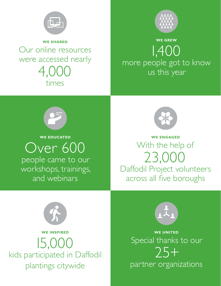

**WE SHARED** Our online resources were accessed nearly 4,000 times



## **WE GREW** 1,400 more people got to know us this year



**WE EDUCATED**

Over 600 people came to our workshops, trainings, and webinars



**WE ENGAGED** With the help of 23,000 Daffodil Project volunteers across all five boroughs



**WE INSPIRED** 15,000 kids participated in Daffodil plantings citywide



**WE UNITED** Special thanks to our 25+ partner organizations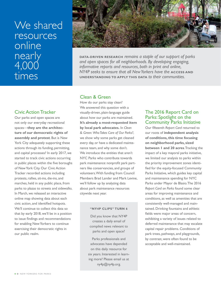## We shared resources online nearly 4,000 times

## [Civic Action Tracker](http://www.ny4p.org/research/civic-action-tracker)

Our parks and open spaces are not only our everyday recreational spaces—**they are the architecture of our democratic rights of assembly and protest**. But is New York City adequately supporting these actions through its funding, permitting, and capital processes? In early 2017, we started to track civic actions occurring in public places within the five boroughs of New York City. Our Civic Action Tracker recorded actions including protests, rallies, sit-ins, die-ins, and marches, held in any public place, from parks to plazas to streets and sidewalks. In March, we released an interactive online map showing data about each civic action, and identified hotspots. We'll continue to collect this data so that by early 2018, we'll be in a position to issue findings and recommendations for enabling New Yorkers to continue exercising their democratic rights in our public realm.



**DATA-DRIVEN RESEARCH** *remains a staple of our support of parks and open spaces for all neighborhoods. By developing engaging, informative reports and resources, both in print and online,*  **NY4P** seeks to ensure that all New Yorkers have the **ACCESS AND UNDERSTANDING TO APPLY THIS DATA** *to their communities.*

## [Clean & Green](http://www.ny4p.org/research/other-reports)

How do our parks stay clean? We answered this question with a visually-driven, plain-language guide about how our parks are maintained. **It's already a most-requested item by local park advocates.** In *Clean & Green: Who Takes Care of Our Parks?*, we show why some parks get cleaned every day, or have a dedicated maintenance team, and why some don't. We introduce the entities that aren't NYC Parks who contribute towards park maintenance: nonprofit park partners like conservancies, and groups of volunteers. With funding from Council Members Brad Lander and Mark Levine, we'll follow up by analyzing data about park maintenance resources citywide next year.

### **"NY4P CLIPS" TURN 6**

Did you know that NY4P creates a daily email of compiled news relevant to parks and open space?

Parks professionals and advocates have depended on this daily resource for six years. Interested in learning more? Please email us at ny4p@ny4p.org.

## The 2016 Report Card on Parks: Spotlight on the [Community Parks Initiative](http://www.ny4p.org/research/report-cards)

Our fifteenth *Report Card* returned to our roots of **independent analysis of conditions, this time focusing on neighborhood parks, sized between 1 and 20 acres**. Tracking the impact of a key mayoral parks initiative, we limited our analysis to parks within the priority improvement zones identified for the equity-focused Community Parks Initiative, which guides key capital and maintenance spending for NYC Parks under Mayor de Blasio. The 2016 *Report Card on Parks* found some clear areas for improving maintenance and conditions, as well as amenities that are consistently well-managed and maintained. Drinking fountains and athletic fields were major areas of concern, exhibiting a variety of issues related to deferred maintenance that may escalate capital repair problems. Conditions of park trees, pathways, and playgrounds, by contrast, were often found to be acceptable and well-maintained.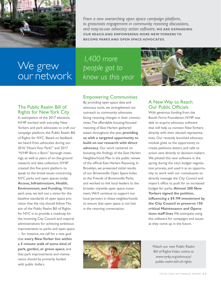

*From a new overarching open space campaign platform, to grassroots engagement in community rezoning discussions, and easy-to-use advocacy action software,* **WE ARE EXPANDING OUR REACH AND EMPOWERING MORE NEW YORKERS TO BECOME PARKS AND OPEN SPACE ADVOCATES.**

We grew our network

*1,400 more people got to know us this year*

## Empowering Communities

By providing open space data and advocacy tools, we strengthened our outreach to community advocates facing rezoning changes in their communities. The affordable housing-focused rezoning of East Harlem gathered steam throughout the year, **providing us with a targeted opportunity to build on our research with direct advocacy**. Our work centered on boosting the findings of the East Harlem Neighborhood Plan in the public review of the official East Harlem Rezoning. In Brooklyn, we presented initial results of our Brownsville Open Space Index to the Friends of Brownsville Parks, and worked to link local leaders to the broader citywide open space movement. We'll continue to support our local partners in these neighborhoods to ensure that open space is not lost in the rezoning conversation.

## A New Way to Reach Our Public Officials

With generous funding from the Booth Ferris Foundation, NY4P was able to acquire advocacy software that will help us connect New Yorkers directly with their elected representatives. Our recently launched advocacy module gives us the opportunity to create petitions, letters, and calls to action sent directly to decision-makers. We piloted this new software in the spring during the city's budget negotiation process, and used it as an opportunity to work with our constituents to directly message the City Council and mayor's office to push for an increased budget for parks. **Almost 200 New Yorkers signed the petition, influencing a \$9.7M investment by the City Council to preserve 150 critical Maintenance and Operations staff lines**. We anticipate using this software for campaigns and issues as they come up in the future.



[Watch our new Public Realm](http://www.ny4p.org/advocacy/public-realm-bill-of-rights)  Bill of Rights Video online at www.ny4p.org/advocacy/ public-realm-bill-of-rights

## The Public Realm Bill of [Rights for New York City](http://www.ny4p.org/advocacy/public-realm-bill-of-rights)

In anticipation of the 2017 elections, NY4P worked with everyday New Yorkers and park advocates to craft our campaign platform, the Public Realm Bill of Rights for NYC. Based on feedback we heard from advocates during our 2016 "How's Your Park?" and 2017 "NY4P: Boro x Boro" borough meetings, as well as years of on-the-ground research and data collection, NY4P created this five point platform to speak to the broad issues concerning NYC parks and open spaces today: **Access, Infrastructure, Health, Environment, and Funding.** Within each area, we laid out a vision for the baseline standards of open space provision that the city should follow. The aim of the Public Realm Bill of Rights for NYC is to provide a roadmap for the incoming City Council and mayoral administrations for achieving ambitious improvements to parks and open space – for instance, we call for a new goal that **every New Yorker live within a 5 minute walk of some kind of park, garden, or green space**, and that park improvements and maintenance should be primarily funded with public dollars.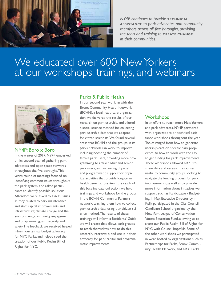

**NY4P** continues to provide **TECHNICAL ASSISTANCE** *to park advocates and community members across all five boroughs, providing the tools and training to* **CREATE CHANGE** *in their communities.*

### **DATA-DRIVEN RESEARCH** *remains a staple of our support of parks and*  We educated over 600 New Yorkers *reports and resources, both in print and online, NY4P seeks to ensure that all New Yorkers have the access and understanding to apply this*  at our workshops, trainings, and webinars



### NY4P: Boro x Boro

In the winter of 2017, NY4P embarked on its second year of gathering park advocates and open space stewards throughout the five boroughs. This year's round of meetings focused on identifying common issues throughout the park system, and asked participants to identify possible solutions. Attendees were asked to assess issues as they related to park maintenance and staff; capital improvements and infrastructure; climate change and the environment; community engagement and programming; and security and safety. The feedback we received helped inform our annual budget advocacy for NYC Parks, and helped seed the creation of our Public Realm Bill of Rights for NYC.

## Parks & Public Health

In our second year working with the Bronx Community Health Network (BCHN), a local healthcare organization, we delivered the results of our research on park usership, and piloted a social science method for collecting park usership data that we adapted for citizen scientists. We found several areas that BCHN and the groups in its parks network can work to improve, including boosting the number of female park users, providing more programming to attract adult and senior park users, and increasing physical and programmatic support for physical activities that provide long-term health benefits. To extend the reach of this baseline data collection, we held trainings and workshops for the groups in the BCHN Community Partners network, teaching them how to collect park usership data using our citizen-science method. The results of these trainings will inform a Residents' Guide we will create that allows park groups to teach themselves how to do this research, interpret it, and use it in their advocacy for park capital and programmatic improvements.

## **Workshops**

In an effort to reach more New Yorkers and park advocates, NY4P partnered with organizations on technical assistance workshops throughout the year. Topics ranged from how to generate usership-data on specific park properties, to how to work with the city to get funding for park improvements. These workshops allowed NY4P to share data and research resources useful to community groups looking to navigate the funding process for park improvements, as well as to provide more information about initiatives we support, such as Participatory Budgeting. In May, Executive Director Lynn Kelly participated in the City Council Candidate School organized by the New York League of Conservation Voters Education Fund, allowing us to share our Public Realm Bill of Rights for NYC with Council hopefuls. Some of the other workshops we participated in were hosted by organizations such as Partnerships for Parks, Bronx Community Health Network, and NYC Parks.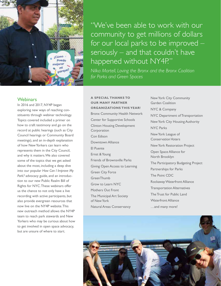

"We've been able to work with our community to get millions of dollars for our local parks to be improved – seriously – and that couldn't have happened without NY4P."

*Nilka Martell, Loving the Bronx and the Bronx Coalition for Parks and Green Spaces*

### **[Webinars](http://www.ny4p.org/advocacy/webinars)**

In 2016 and 2017, NY4P began exploring new ways of reaching constituents through webinar technology. Topics covered included a primer on how to craft testimony and go on the record at public hearings (such as City Council hearings or Community Board meetings), and an in-depth explanation of how New Yorkers can learn who represents them in the City Council, and why it matters. We also covered some of the topics that we get asked about the most, including a deep dive into our popular *How Can I Improve My Park?* advocacy guide, and an introduction to our new Public Realm Bill of Rights for NYC. These webinars offer us the chance to not only have a live recording with active participants, but also provide evergreen resources that now live on the NY4P website. This new outreach method allows the NY4P team to reach park stewards and New Yorkers who may be curious about how to get involved in open space advocacy, but are unsure of where to start.

### **A SPECIAL THANKS TO OUR MANY PARTNER ORGANIZATIONS THIS YEAR!**

Bronx Community Health Network Center for Supportive Schools Clinton Housing Development Corporation Con Edison Downtown Alliance El Puente Ernst & Young Friends of Brownsville Parks Giving Open Access to Learning Green City Force **GreenThumb** Grow to Learn NYC Mothers Out Front The Municipal Art Society of New York Natural Areas Conservancy

New York City Community Garden Coalition NYC & Company NYC Department of Transportation New York City Housing Authority NYC Parks New York League of Conservation Voters New York Restoration Project Open Space Alliance for North Brooklyn The Participatory Budgeting Project Partnerships for Parks The Point CDC Rockaway Waterfront Alliance Transportation Alternatives The Trust for Public Land Waterfront Alliance …and many more!

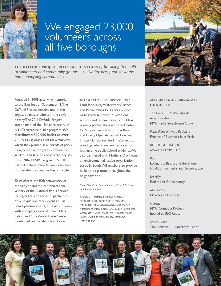

## We engaged 23,000 volunteers across all five boroughs

**THE DAFFODIL PROJECT CELEBRATED 15 YEARS** *of providing free bulbs to volunteers and community groups – cultivating new park stewards and beautifying communities.*

Founded in 2001 as a living memorial to the lives lost on September 11, The Daffodil Project remains one of the largest volunteer efforts in the city's history. The 2016 Daffodil Project season marked the 15th anniversary of NY4P's signature public program. **We distributed 500,000 bulbs to over 900 NYC groups and New Yorkers**, which they planted in hundreds of parks, playgrounds, schoolyards, community gardens, and tree pits across the city. As of fall 2016, NY4P has given 6.5 million daffodil bulbs to New Yorkers who have planted them across the five boroughs.

To celebrate the 15th anniversary of the Project and the centennial anniversary of the National Parks Service (NPS), NY4P and the NPS partnered on a unique volunteer event at Ellis Island, planting over 1,000 bulbs in areas with sweeping views of Lower Manhattan and One World Trade Center. Continued partnerships with Grow

to Learn NYC, The Trust for Public Land, Rockaway Waterfront Alliance, and Partnerships for Parks allowed us to reach hundreds of additional schools and community groups. New planting partnerships with the Center for Supportive Schools in the Bronx and Giving Open Access to Learning in East Harlem resulted in after-school plantings where we reached over 100 low-income public school students. We also partnered with Mothers Out Front, an environmental justice organization based in South Williamsburg, to provide bulbs to be planted throughout the neighborhood.

*Above: Volunteers plant daffodil bulbs at Ellis Island in September 2016.* 

*Below: 2017 Daffodil Breakfast honorees (from left to right): Lynn Kelly (NY4P Staff), Ivan Lopez, Franco Mucciacciaro, Nilka Martell, Katherine Thompson, Steve Chesler, Lee Regenbogen, George Reis, Lynden Miller (NY4P Board), Marlene Pantin, Erycka de Jesus, and Joel Steinhaus (NY4P Board).*



### **2017 DAFFODIL BREAKFAST HONOREES**

*The Lynden B. Miller Citywide Award Recipient* NYC Parks Storehouse Crew

*Parks Pioneer Award Recipient* Friends of Bushwick Inlet Park

BOROUGH DAFFODIL AWARD RECIPIENTS

*Bronx* Loving the Bronx and the Bronx Coalition for Parks and Green Space

*Brooklyn* Red Hook Conservancy

*Manhattan* New York University

*Queens* NYC Compost Project hosted by BIG Reuse

*Staten Island* The Richard H. Hungerford School

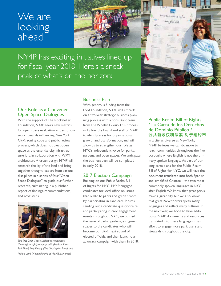## We are looking ahead



NY4P has exciting initiatives lined up for fiscal year 2018. Here's a sneak peak of what's on the horizon:



### Our Role as a Convener: Open Space Dialogues

With the support of The Rockefeller Foundation, NY4P seeks new metrics for open space evaluation as part of our work towards influencing New York City's zoning code and public review process, which does not treat open space as the essential city infrastructure it is. In collaboration with WXY architecture + urban design, NY4P will research the lay of the land and bring together thought-leaders from various disciplines in a series of four "Open Space Dialogues" to guide our further research, culminating in a published report of findings, recommendations, and next steps.



*The first Open Space Dialogues respondents (from left to right): Madelyn Wils (Hudson River Park Trust), Amy Freitag (The J.M. Kaplan Fund), and Joshua Laird (National Parks of New York Harbor)*

## Business Plan

With generous funding from the Ford Foundation, NY4P will embark on a five-year strategic business planning process with a consultant team from The Whelan Group. This process will allow the board and staff of NY4P to identify areas for organizational growth and transformation, and will allow us to strengthen our role as NYC's independent voice for parks, gardens, and open spaces. We anticipate the business plan will be completed in early 2018.

## 2017 Election Campaign

Building on our Public Realm Bill of Rights for NYC, NY4P engaged candidates for local office on issues that relate to parks and green spaces. By participating in candidate forums, sending out a candidate questionnaire, and participating in civic engagement events throughout NYC, we pushed the issue of parks, gardens, and green spaces to the candidates who will become our city's next round of elected officials, and then launch our advocacy campaign with them in 2018.

## Public Realm Bill of Rights / La Carta de los Derechos de Dominio Público / 公共领域权利法案 对于纽约市

In a city as diverse as New York, NY4P believes we can do more to reach communities throughout the five boroughs where English is not the primary spoken language. As part of our long-term plans for the Public Realm Bill of Rights for NYC, we will have the document translated into both Spanish and simplified Chinese – the two most commonly spoken languages in NYC, after English. We know that great parks make a great city, but we also know that great New Yorkers speak many languages and reflect many cultures. In the next year, we hope to have additional NY4P documents and resources translated into these languages in an effort to engage more park users and stewards throughout the city.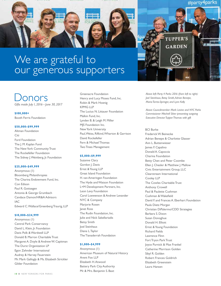

# We are grateful to our generous supporters

## onors

*Gifts made July 1, 2016 – June 30, 2017*

#### **\$100,000+**

Booth Ferris Foundation

#### **\$50,000–\$99,999**

Altman Foundation Citi Ford Foundation The J. M. Kaplan Fund The New York Community Trust The Rockefeller Foundation The Sidney J. Weinberg, Jr. Foundation

#### **\$25,000–\$49,999**

Anonymous (1) Bloomberg Philanthropies The Charina Endowment Fund, Inc. Con Edison Paul R. Gottsegen Antonia & George Grumbach Candace Damon/HR&A Advisors IAC Edward C. Wallace/Greenberg Traurig, LLP

#### **\$10,000–\$24,999**

Anonymous (1) Central Park Conservancy David L. Klein, Jr. Foundation Davis Polk & Wardwell LLP Donald B. Marron Charitable Trust Margaret A. Doyle & Andrew W. Capitman The Durst Organization LP Egon Zehnder International Audrey & Harvey Feuerstein Mr. Mark Gallogly & Ms. Elizabeth Strickler Gilder Foundation

Greenacre Foundation Henry and Lucy Moses Fund, Inc. Robin & Mark Hoenig KPMG LLP The Lucius N. Littauer Foundation Malkin Fund, Inc. Lynden B. & Leigh M. Miller MJS Foundation Inc. New York University Paul, Weiss, Rifkind, Wharton & Garrison David Rockefeller Fern & Michael Thomas Two Trees Management

#### **\$5,000–\$9,999**

Suzanne Clary Gordon J. Davis Ernst & Young LLP Great Island Foundation H. van Ameringen Foundation The Hyde and Watson Foundation L+M Development Partners, Inc. Leon Levy Foundation Carol Loewenson & Andrew Levander NYC & Company Marjorie Rosen Janet Ross The Rudin Foundation, Inc. Julie and Nick Sakellariadis Betsy Smith Joel Steinhaus Diana L. Taylor The Tianaderrah Foundation

#### **\$1,000–\$4,999**

Anonymous (1) American Museum of Natural History Arent Fox LLP Elizabeth H. Atwood Battery Park City Authority Mr. & Mrs. Benjamin S. Baxt

*Above left: Party 4 Parks 2016 (from left to right): Joel Steinhaus, Betsy Smith, Adrian Benepe, Maria Torres-Springer, and Lynn Kelly*

*Above: Councilmember Mark Levine and NYC Parks Commissioner Mitchell Silver presenting outgoing Executive Director Tupper Thomas with gift*

#### BCI Burke

Frederick W. Beinecke Adrian Benepe & Charlotte Glasser Ann L. Buttenwieser James F. Capalino Donald A. Capoccia Charina Foundation Betty Chen and Peter Coombe Ellen J. Chesler & Matthew J. Mallow Civic Entertainment Group, LLC Clearstream International Cooley LLP The Cowles Charitable Trust Anthony Crowell Paul & Paulette Cushman Cushman & Wakefield David F. and Frances A. Eberhart Foundation Paula Dietz Morgan Christian DiPalermo/CDD Strategies Barbara S. Dixon Susan Donoghue Donald H. Elliott Ernst & Young Foundation Richard Fields Lawrence Flinn Fort Tryon Park Trust Joyce Purnick & Max Frankel Catherine Morrison Golden Sibyl R. Golden Robert Frances Goldrich Elizabeth Greenstein Laura Hansen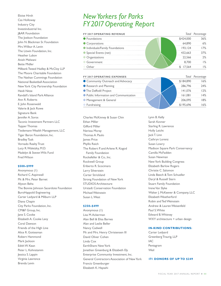Eloise Hirsh Cas Holloway Industry City Investindustrial Inc. J&AR Foundation The Joelson Foundation John N. Blackman Sr. Foundation Mrs. Wilbur A. Levin The Litwin Foundation, Inc. Heather Lubov Anish Melwani Bette Midler Milbank Tweed Hadley & McCloy LLP The Moore Charitable Foundation The Nathan Cummings Foundation National Basketball Association New York City Partnership Foundation Heidi Nitze Randall's Island Park Alliance Ann R. Roberts E. John Rosenwald Valerie & Jack Rowe Signature Bank Jennifer A. Soros Taconic Investment Partners LLC Tupper Thomas Tiedemann Wealth Management, LLC Tiger Baron Foundation, Inc. Bradley Tusk Vornado Realty Trust Lucy R. Waletzky, M.D. Madelyn & Steven Wils Fund Fred Wilson

#### **\$500–\$999**

Anonymous (1) Richard C. Aspinwall Mr. & Mrs. Peter Barnet Alyson Beha The Bonnie Johnson Sacerdote Foundation BuroHappold Engineering Carter Ledyard & Milburn LLP Diana Chapin City Parks Foundation, Inc. CM&F Group, Inc. Jane S. Cooke Elizabeth A. Cooke Levy Coral Dawson Friends of the High Line Alice R. Gottesman Robert Hammond Mark Jackson Edith W. Kean Peter L. Kohnstamm Jessica S. Lappin Virginia Lawrence Brenda Levin

## *New Yorkers for Parks FY 2017 Operating Report*

| <b>FY 2017 OPERATING REVENUE</b> |        | Total Percentage |
|----------------------------------|--------|------------------|
| • Foundations                    |        | 86%              |
| Corporations                     |        |                  |
| Individuals/Family Foundations   |        |                  |
| Special Events (net)             |        | १7%              |
| • Organizations                  | 22.566 | )%               |
| Government                       |        |                  |
|                                  |        |                  |

| <b>FY 2017 OPERATING EXPENSES</b>      |         | Total Percen |
|----------------------------------------|---------|--------------|
| • Community Outreach and Advocacy      |         |              |
| Research and Planning                  | 286,796 |              |
| • The Daffodil Project                 |         |              |
| • Public Information and Communication | 161.081 |              |
| • Management & General                 | 206 095 |              |
|                                        |         |              |

Charles McKinney & Susan Chin Ethan Miller Gifford Miller Nerissa Moray Thomas A. Paulo James Price Phyllis Reich The Robert P. and Arlene R. Kogod Family Foundation Rockefeller & Co., Inc. Rockwell Group Eriberto R. Scocimara Larry Silverstein Carter Strickland Strong Foundation of New York STUDIOS Architecture Urstadt Conservation Foundation Michael Weinstein Susan L. West

#### **\$250–\$499**

Anonymous (1) Lisa M. Ackerman Alan Bell & Elisa Barnes Alan and Leslie Beller Nancy Cadwell Mr. and Mrs. Henry Christensen III David Oliver Cohen Linda Cox EarthShare New York Jonathan Greenburg & Elizabeth Ely Enterprise Community Investment, Inc. General Contractors Association of New York Francis Greenburger Elizabeth K. Hayashi

Lynn B. Kelly Sarah Kovner Starling R. Lawrence Holly Leicht Jack T. Linn Cathryn Lorenz Susan Lowry Madison Square Park Conservancy Camilla McFadden Susan Newman New York Building Congress Elizabeth Barlow Rogers Christie C. Salomon Linda Beech & Tom Schueller Daryl & Russell Stern Stuart Family Foundation Irene Van Slyke Walter J. McKeever & Company, LLC Elizabeth Weatherford Robin and Ted Weinstein Andrew & Lauren Weisenfeld Paul S. White Edward B. Whitney WXY architecture + urban design

#### **IN-KIND CONTRIBUTIONS:**

Carter Ledyard Greenberg Traurig, LLP IAC Pentagram Weil

#### **171 DONORS OF UP TO \$249**